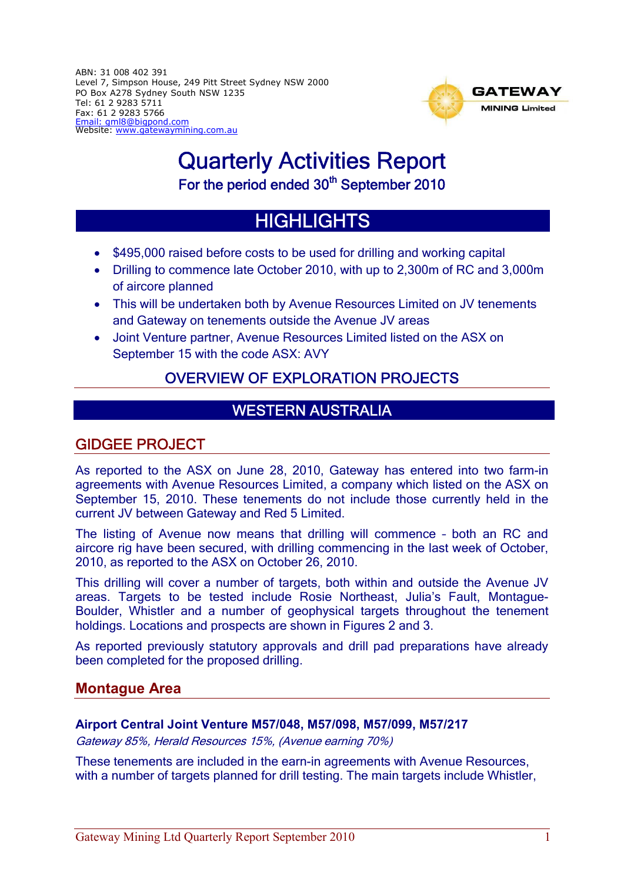ABN: 31 008 402 391 Level 7, Simpson House, 249 Pitt Street Sydney NSW 2000 PO Box A278 Sydney South NSW 1235 Tel: 61 2 9283 5711 Fax: 61 2 9283 5766 Email: gml8@bigpond.com Website: www.gatewaymining.com.au



# Quarterly Activities Report For the period ended 30<sup>th</sup> September 2010

# **HIGHLIGHTS**

- \$495,000 raised before costs to be used for drilling and working capital
- Drilling to commence late October 2010, with up to 2,300m of RC and 3,000m of aircore planned
- This will be undertaken both by Avenue Resources Limited on JV tenements and Gateway on tenements outside the Avenue JV areas
- Joint Venture partner, Avenue Resources Limited listed on the ASX on September 15 with the code ASX: AVY

# OVERVIEW OF EXPLORATION PROJECTS

# WESTERN AUSTRALIA

# GIDGEE PROJECT

As reported to the ASX on June 28, 2010, Gateway has entered into two farm-in agreements with Avenue Resources Limited, a company which listed on the ASX on September 15, 2010. These tenements do not include those currently held in the current JV between Gateway and Red 5 Limited.

The listing of Avenue now means that drilling will commence – both an RC and aircore rig have been secured, with drilling commencing in the last week of October, 2010, as reported to the ASX on October 26, 2010.

This drilling will cover a number of targets, both within and outside the Avenue JV areas. Targets to be tested include Rosie Northeast, Julia's Fault, Montague-Boulder, Whistler and a number of geophysical targets throughout the tenement holdings. Locations and prospects are shown in Figures 2 and 3.

As reported previously statutory approvals and drill pad preparations have already been completed for the proposed drilling.

## **Montague Area**

#### **Airport Central Joint Venture M57/048, M57/098, M57/099, M57/217**

Gateway 85%, Herald Resources 15%, (Avenue earning 70%)

These tenements are included in the earn-in agreements with Avenue Resources, with a number of targets planned for drill testing. The main targets include Whistler,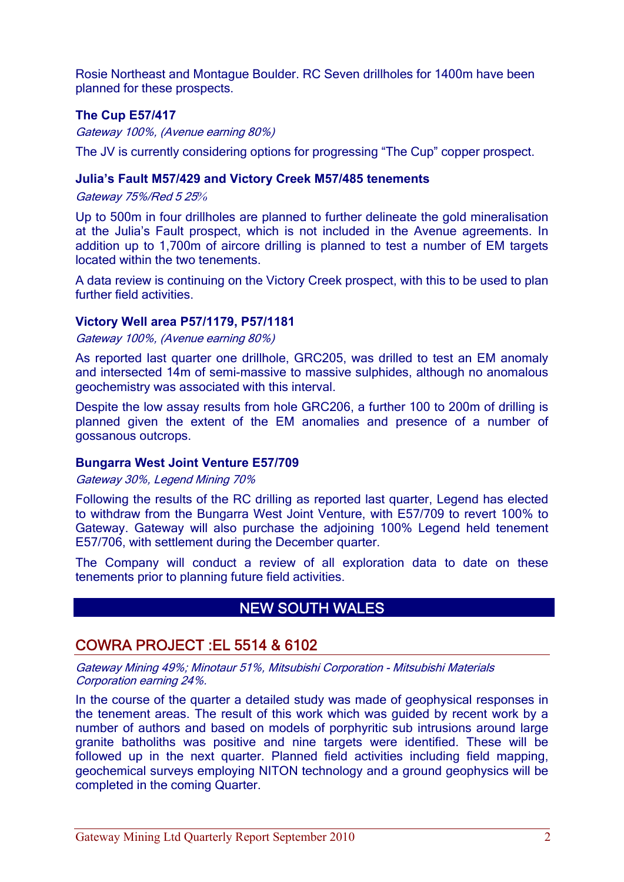Rosie Northeast and Montague Boulder. RC Seven drillholes for 1400m have been planned for these prospects.

#### **The Cup E57/417**

Gateway 100%, (Avenue earning 80%)

The JV is currently considering options for progressing "The Cup" copper prospect.

#### **Julia's Fault M57/429 and Victory Creek M57/485 tenements**

Gateway 75%/Red 5 25*%*

Up to 500m in four drillholes are planned to further delineate the gold mineralisation at the Julia's Fault prospect, which is not included in the Avenue agreements. In addition up to 1,700m of aircore drilling is planned to test a number of EM targets located within the two tenements.

A data review is continuing on the Victory Creek prospect, with this to be used to plan further field activities.

#### **Victory Well area P57/1179, P57/1181**

Gateway 100%, (Avenue earning 80%)

As reported last quarter one drillhole, GRC205, was drilled to test an EM anomaly and intersected 14m of semi-massive to massive sulphides, although no anomalous geochemistry was associated with this interval.

Despite the low assay results from hole GRC206, a further 100 to 200m of drilling is planned given the extent of the EM anomalies and presence of a number of gossanous outcrops.

#### **Bungarra West Joint Venture E57/709**

Gateway 30%, Legend Mining 70%

Following the results of the RC drilling as reported last quarter, Legend has elected to withdraw from the Bungarra West Joint Venture, with E57/709 to revert 100% to Gateway. Gateway will also purchase the adjoining 100% Legend held tenement E57/706, with settlement during the December quarter.

The Company will conduct a review of all exploration data to date on these tenements prior to planning future field activities.

# NEW SOUTH WALES

### COWRA PROJECT :EL 5514 & 6102

Gateway Mining 49%; Minotaur 51%, Mitsubishi Corporation - Mitsubishi Materials Corporation earning 24%.

In the course of the quarter a detailed study was made of geophysical responses in the tenement areas. The result of this work which was guided by recent work by a number of authors and based on models of porphyritic sub intrusions around large granite batholiths was positive and nine targets were identified. These will be followed up in the next quarter. Planned field activities including field mapping, geochemical surveys employing NITON technology and a ground geophysics will be completed in the coming Quarter.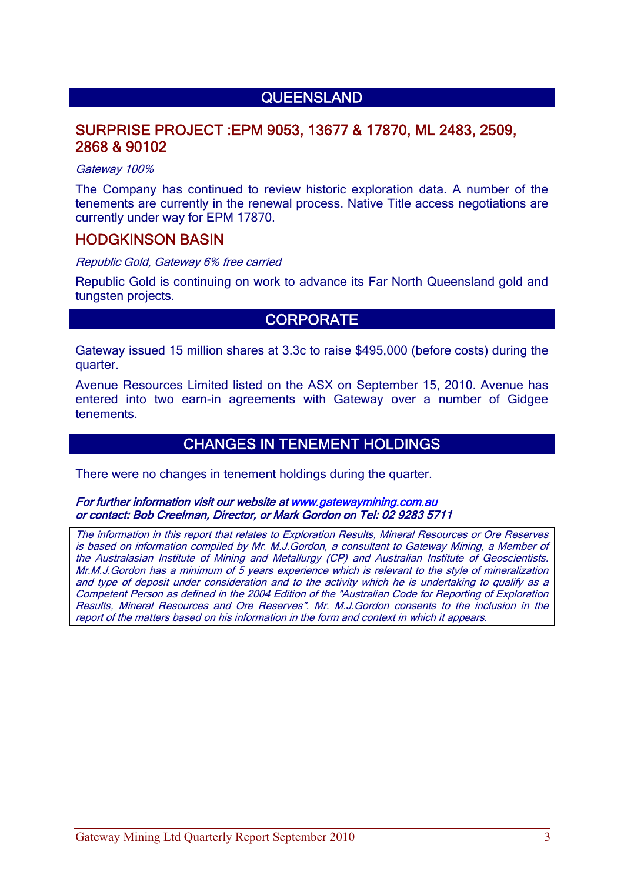# **QUEENSLAND**

## SURPRISE PROJECT :EPM 9053, 13677 & 17870, ML 2483, 2509, 2868 & 90102

#### Gateway 100%

The Company has continued to review historic exploration data. A number of the tenements are currently in the renewal process. Native Title access negotiations are currently under way for EPM 17870.

#### HODGKINSON BASIN

Republic Gold, Gateway 6% free carried

Republic Gold is continuing on work to advance its Far North Queensland gold and tungsten projects.

### **CORPORATE**

Gateway issued 15 million shares at 3.3c to raise \$495,000 (before costs) during the quarter.

Avenue Resources Limited listed on the ASX on September 15, 2010. Avenue has entered into two earn-in agreements with Gateway over a number of Gidgee tenements.

### CHANGES IN TENEMENT HOLDINGS

There were no changes in tenement holdings during the quarter.

#### For further information visit our website at www.gatewaymining.com.au or contact: Bob Creelman, Director, or Mark Gordon on Tel: 02 9283 5711

The information in this report that relates to Exploration Results, Mineral Resources or Ore Reserves is based on information compiled by Mr. M.J.Gordon, a consultant to Gateway Mining, a Member of the Australasian Institute of Mining and Metallurgy (CP) and Australian Institute of Geoscientists. Mr.M.J.Gordon has a minimum of 5 years experience which is relevant to the style of mineralization and type of deposit under consideration and to the activity which he is undertaking to qualify as a Competent Person as defined in the 2004 Edition of the "Australian Code for Reporting of Exploration Results, Mineral Resources and Ore Reserves". Mr. M.J.Gordon consents to the inclusion in the report of the matters based on his information in the form and context in which it appears.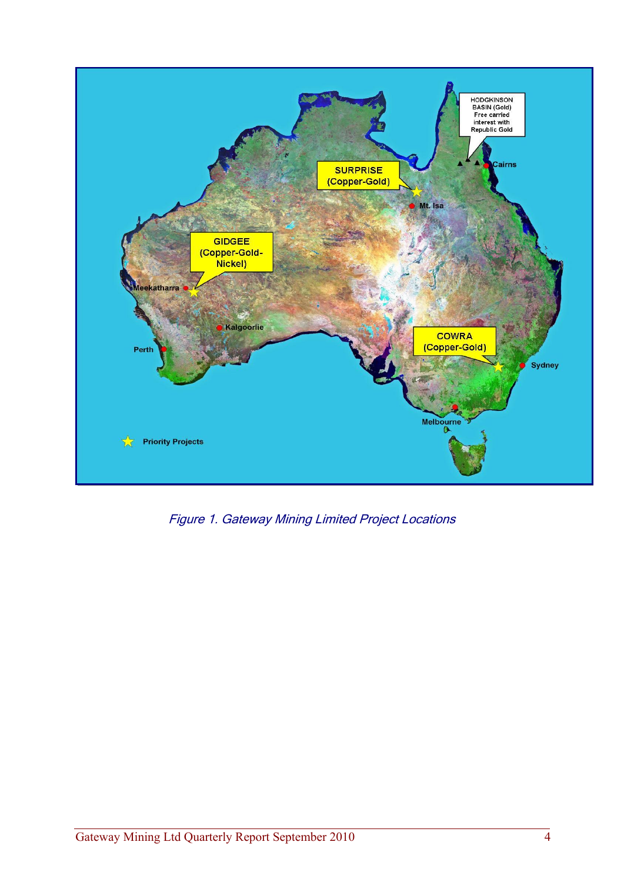

Figure 1. Gateway Mining Limited Project Locations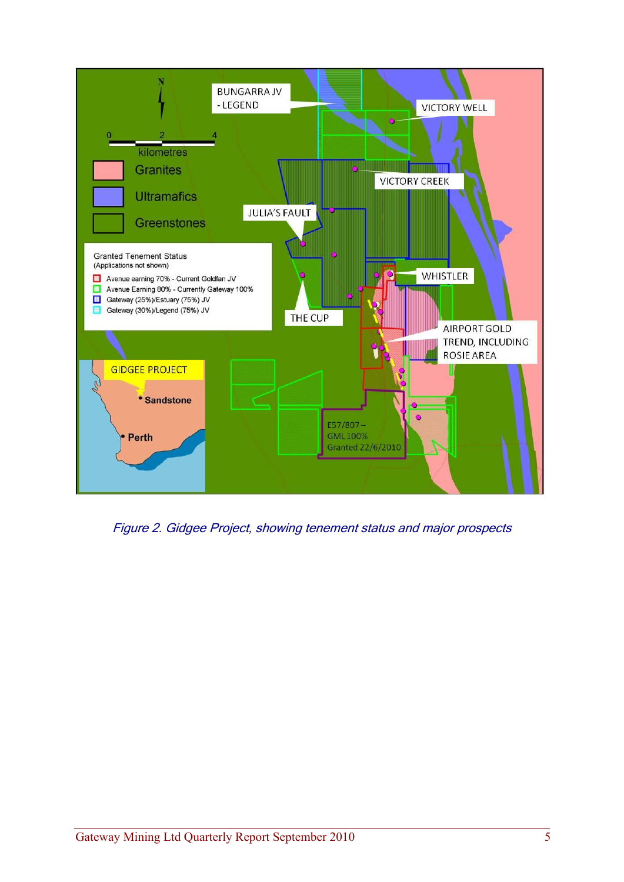

Figure 2. Gidgee Project, showing tenement status and major prospects